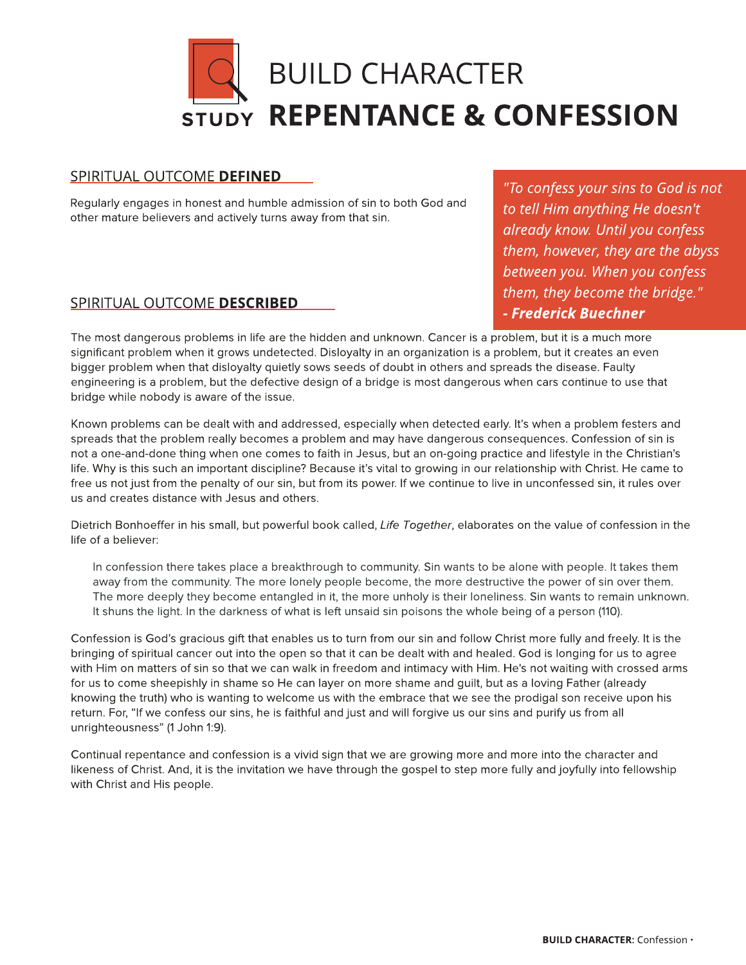

# SPIRITUAL OUTCOME DEFINED

Regularly engages in honest and humble admission of sin to both God and other mature believers and actively turns away from that sin.

# SPIRITUAL OUTCOME DESCRIBED

**"To confess your sins to God is not to tell Him anything He doesn't already know. Until you confess them, however, they are the abyss between you. When you confess them, they become the bridge." - Frederick Buechner**

The most dangerous problems in life are the hidden and unknown. Cancer is a problem, but it is a much more significant problem when it grows undetected. Disloyalty in an organization is a problem, but it creates an even bigger problem when that disloyalty quietly sows seeds of doubt in others and spreads the disease. Faulty engineering is a problem, but the defective design of a bridge is most dangerous when cars continue to use that bridge while nobody is aware of the issue.

Known problems can be dealt with and addressed, especially when detected early. It's when a problem festers and spreads that the problem really becomes a problem and may have dangerous consequences. Confession of sin is not a one-and-done thing when one comes to faith in Jesus, but an on-going practice and lifestyle in the Christian's life. Why is this such an important discipline? Because it?s vital to growing in our relationship with Christ. He came to free us not just from the penalty of our sin, but from its power. If we continue to live in unconfessed sin, it rules over us and creates distance with Jesus and others.

Dietrich Bonhoeffer in his small, but powerful book called, **Life Together**, elaborates on the value of confession in the life of a believer:

In confession there takes place a breakthrough to community. Sin wants to be alone with people. It takes them away from the community. The more lonely people become, the more destructive the power of sin over them. The more deeply they become entangled in it, the more unholy is their loneliness. Sin wants to remain unknown. It shuns the light. In the darkness of what is left unsaid sin poisons the whole being of a person (110).

Confession is God?s gracious gift that enables us to turn from our sin and follow Christ more fully and freely. It is the bringing of spiritual cancer out into the open so that it can be dealt with and healed. God is longing for us to agree with Him on matters of sin so that we can walk in freedom and intimacy with Him. He's not waiting with crossed arms for us to come sheepishly in shame so He can layer on more shame and guilt, but as a loving Father (already knowing the truth) who is wanting to welcome us with the embrace that we see the prodigal son receive upon his return. For, "If we confess our sins, he is faithful and just and will forgive us our sins and purify us from all unrighteousness? (1 John 1:9).

Continual repentance and confession is a vivid sign that we are growing more and more into the character and likeness of Christ. And, it is the invitation we have through the gospel to step more fully and joyfully into fellowship with Christ and His people.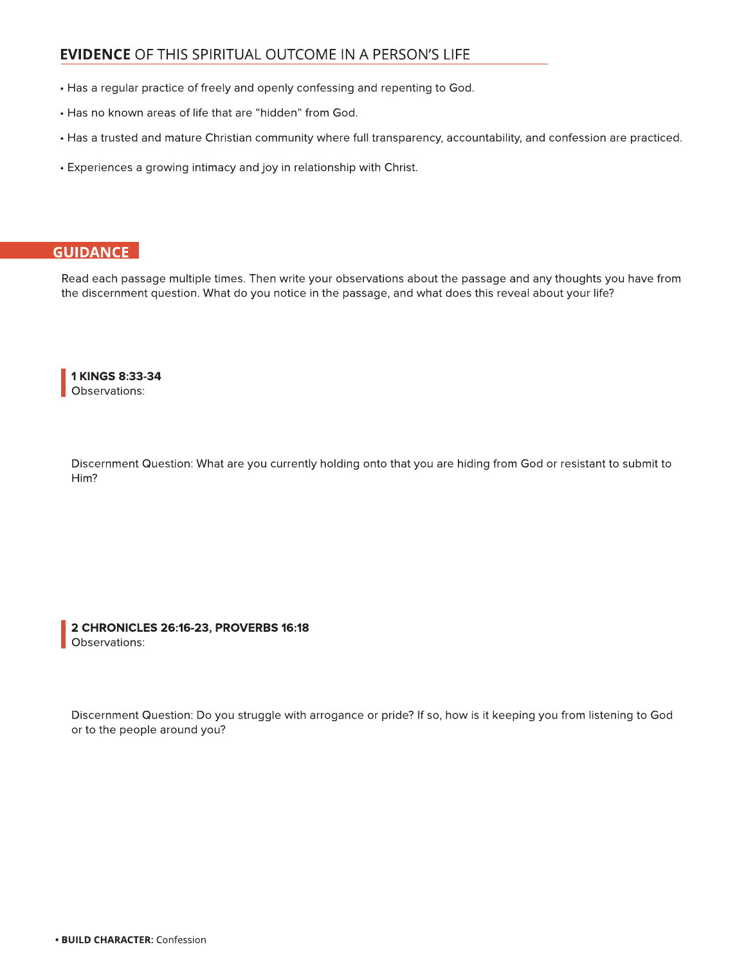# EVIDENCE OF THIS SPIRITUAL OUTCOME IN A PERSON?S LIFE

- Has a regular practice of freely and openly confessing and repenting to God.
- $\cdot$  Has no known areas of life that are "hidden" from God.
- Has a trusted and mature Christian community where full transparency, accountability, and confession are practiced.
- Experiences a growing intimacy and joy in relationship with Christ.

# **GUIDANCE**

Read each passage multiple times. Then write your observations about the passage and any thoughts you have from the discernment question. What do you notice in the passage, and what does this reveal about your life?

1 KINGS 8:33-34 Observations:

Discernment Question: What are you currently holding onto that you are hiding from God or resistant to submit to Him?

2 CHRONICLES 26:16-23, PROVERBS 16:18 Observations:

Discernment Question: Do you struggle with arrogance or pride? If so, how is it keeping you from listening to God or to the people around you?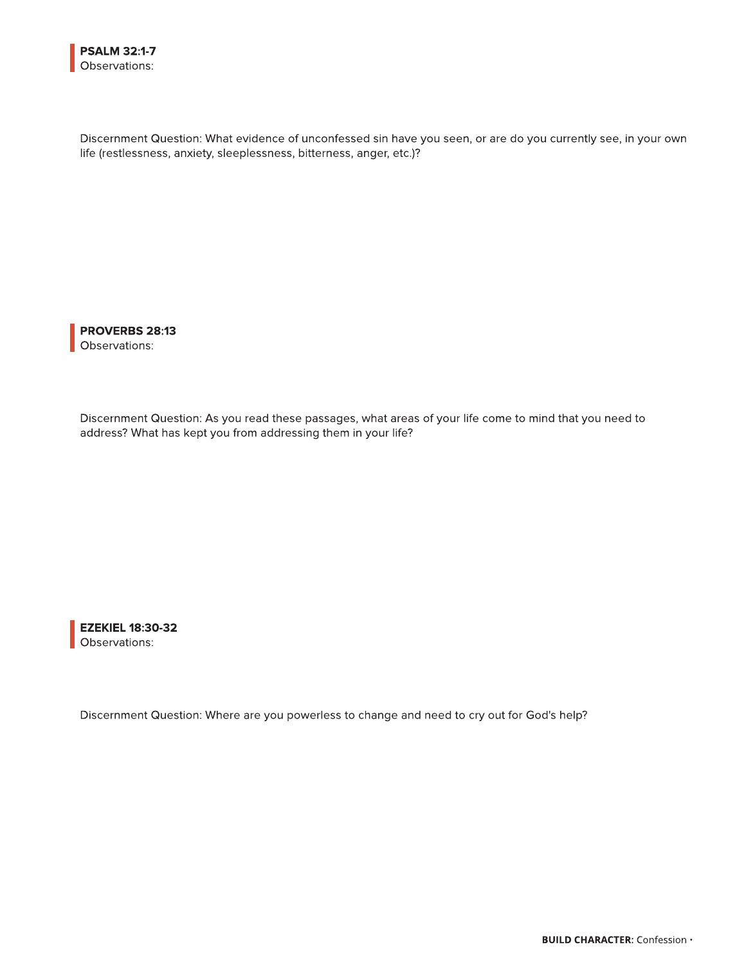Discernment Question: What evidence of unconfessed sin have you seen, or are do you currently see, in your own life (restlessness, anxiety, sleeplessness, bitterness, anger, etc.)?

PROVERBS 28:13 Observations:

Discernment Question: As you read these passages, what areas of your life come to mind that you need to address? What has kept you from addressing them in your life?

EZEKIEL 18:30-32 Observations:

Discernment Question: Where are you powerless to change and need to cry out for God's help?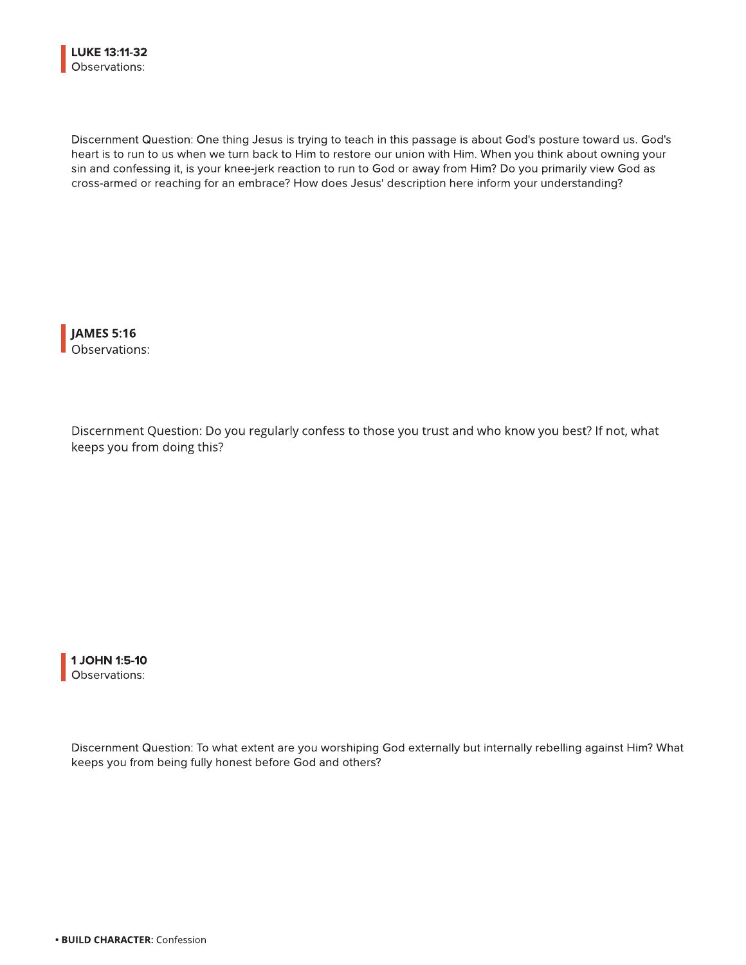Discernment Question: One thing Jesus is trying to teach in this passage is about God's posture toward us. God's heart is to run to us when we turn back to Him to restore our union with Him. When you think about owning your sin and confessing it, is your knee-jerk reaction to run to God or away from Him? Do you primarily view God as cross-armed or reaching for an embrace? How does Jesus' description here inform your understanding?

JAMES 5:16 Observations:

Discernment Question: Do you regularly confess to those you trust and who know you best? If not, what keeps you from doing this?



Discernment Question: To what extent are you worshiping God externally but internally rebelling against Him? What keeps you from being fully honest before God and others?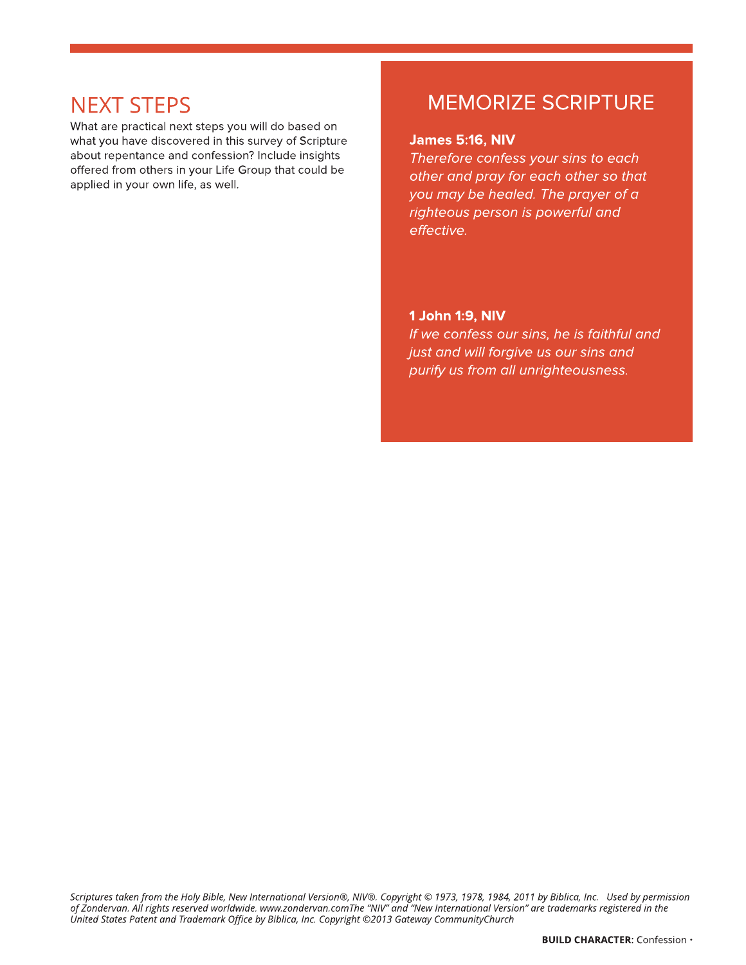What are practical next steps you will do based on what you have discovered in this survey of Scripture about repentance and confession? Include insights offered from others in your Life Group that could be applied in your own life, as well.

# NEXT STEPS MEMORIZE SCRIPTURE

#### James 5:16, NIV

**Therefore confess your sins to each other and pray for each other so that you may be healed. The prayer of a righteous person is powerful and effective.**

#### 1 John 1:9, NIV

**If we confess our sins, he is faithful and just and will forgive us our sins and purify us from all unrighteousness.**

**Scriptures taken from the Holy Bible, New International Version®, NIV®. Copyright © 1973, 1978, 1984, 2011 by Biblica, Inc. Used by permission**  of Zondervan. All rights reserved worldwide. www.zondervan.comThe "NIV" and "New International Version" are trademarks registered in the **United States Patent and Trademark Office by Biblica, Inc. Copyright ©2013 Gateway CommunityChurch**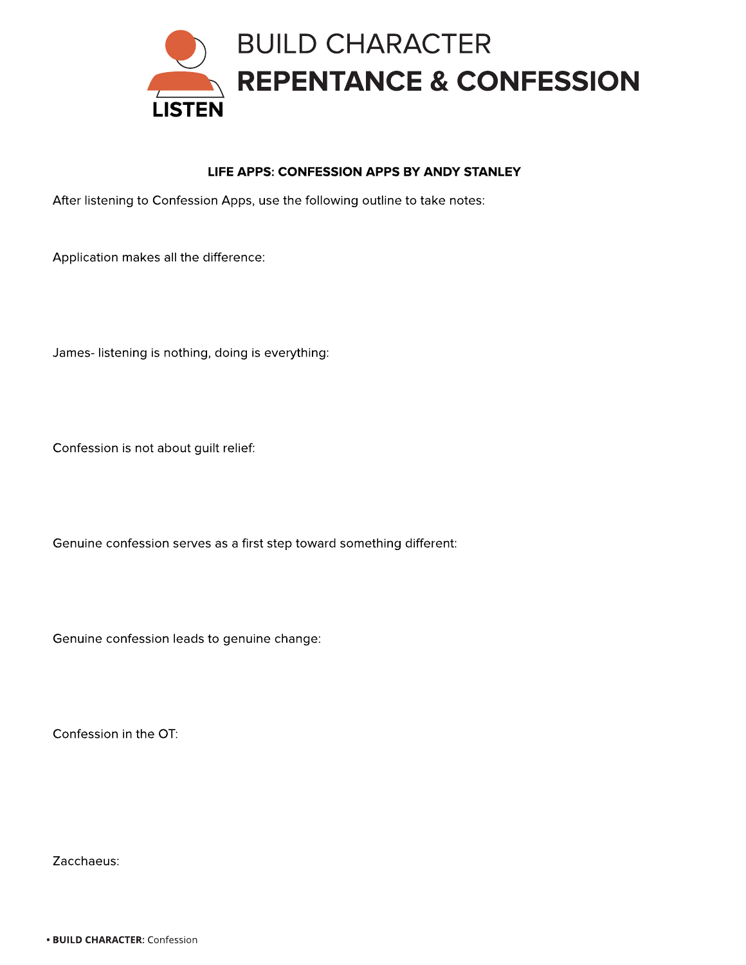

# LIFE APPS: CONFESSION APPS BY ANDY STANLEY

After listening to Confession Apps, use the following outline to take notes:

Application makes all the difference:

James- listening is nothing, doing is everything:

Confession is not about guilt relief:

Genuine confession serves as a first step toward something different:

Genuine confession leads to genuine change:

Confession in the OT:

Zacchaeus: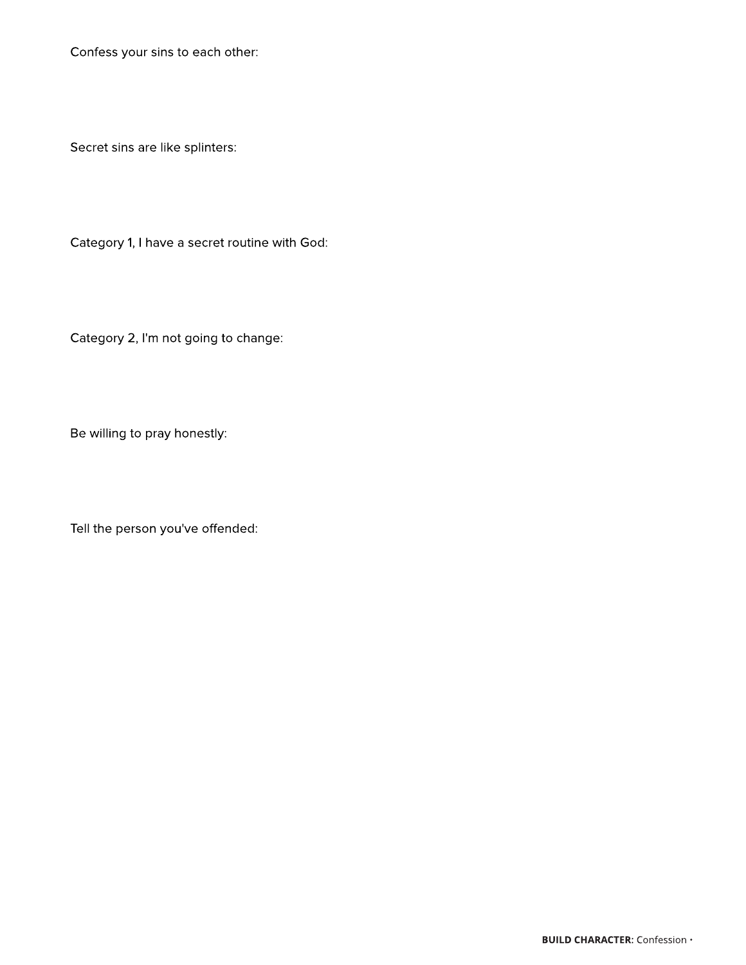Confess your sins to each other:

Secret sins are like splinters:

Category 1, I have a secret routine with God:

Category 2, I'm not going to change:

Be willing to pray honestly:

Tell the person you've offended: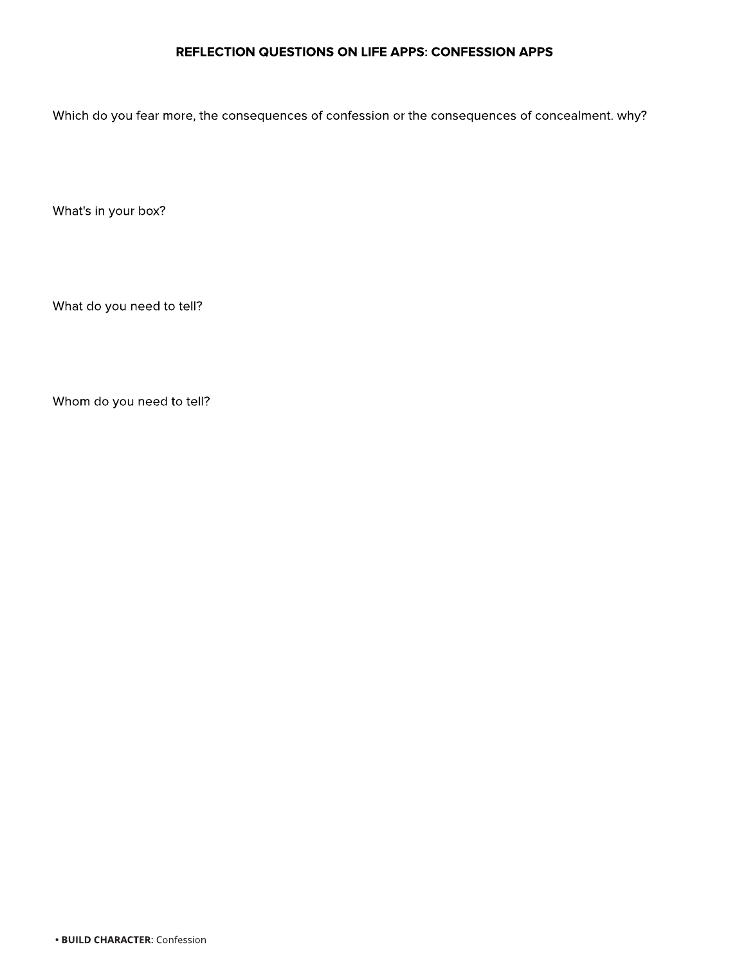# REFLECTION QUESTIONS ON LIFE APPS: CONFESSION APPS

Which do you fear more, the consequences of confession or the consequences of concealment. why?

What's in your box?

What do you need to tell?

Whom do you need to tell?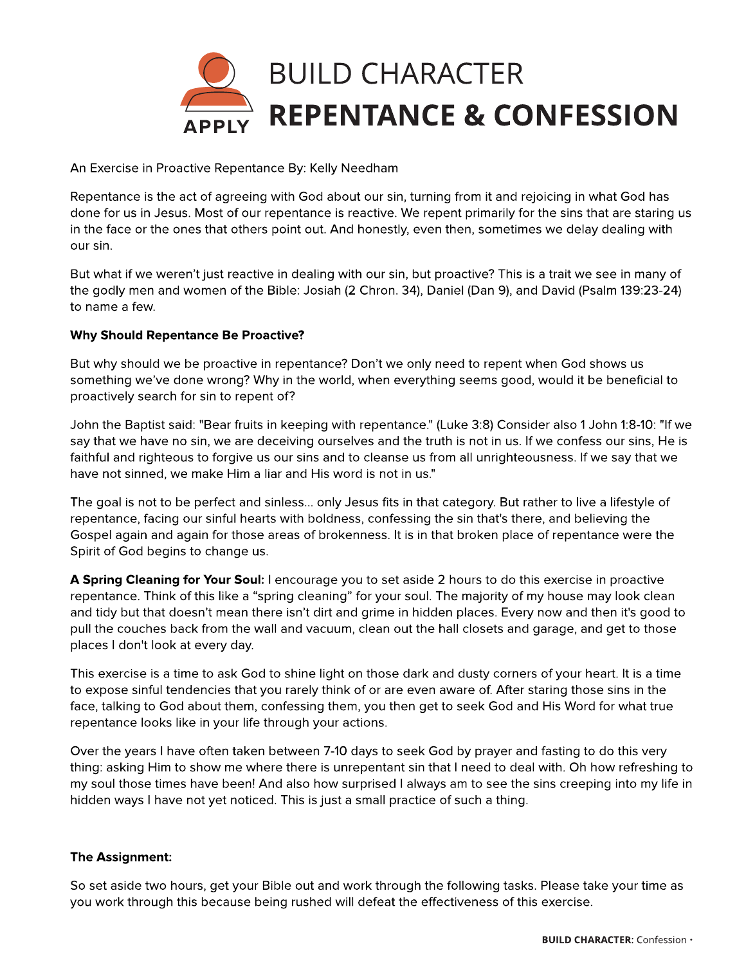

An Exercise in Proactive Repentance By: Kelly Needham

Repentance is the act of agreeing with God about our sin, turning from it and rejoicing in what God has done for us in Jesus. Most of our repentance is reactive. We repent primarily for the sins that are staring us in the face or the ones that others point out. And honestly, even then, sometimes we delay dealing with our sin.

But what if we weren?t just reactive in dealing with our sin, but proactive? This is a trait we see in many of the godly men and women of the Bible: Josiah (2 Chron. 34), Daniel (Dan 9), and David (Psalm 139:23-24) to name a few.

### Why Should Repentance Be Proactive?

But why should we be proactive in repentance? Don?t we only need to repent when God shows us something we've done wrong? Why in the world, when everything seems good, would it be beneficial to proactively search for sin to repent of?

John the Baptist said: "Bear fruits in keeping with repentance." (Luke 3:8) Consider also 1 John 1:8-10: "If we say that we have no sin, we are deceiving ourselves and the truth is not in us. If we confess our sins, He is faithful and righteous to forgive us our sins and to cleanse us from all unrighteousness. If we say that we have not sinned, we make Him a liar and His word is not in us."

The goal is not to be perfect and sinless... only Jesus fits in that category. But rather to live a lifestyle of repentance, facing our sinful hearts with boldness, confessing the sin that's there, and believing the Gospel again and again for those areas of brokenness. It is in that broken place of repentance were the Spirit of God begins to change us.

A Spring Cleaning for Your Soul: I encourage you to set aside 2 hours to do this exercise in proactive repentance. Think of this like a "spring cleaning" for your soul. The majority of my house may look clean and tidy but that doesn't mean there isn't dirt and grime in hidden places. Every now and then it's good to pull the couches back from the wall and vacuum, clean out the hall closets and garage, and get to those places I don't look at every day.

This exercise is a time to ask God to shine light on those dark and dusty corners of your heart. It is a time to expose sinful tendencies that you rarely think of or are even aware of. After staring those sins in the face, talking to God about them, confessing them, you then get to seek God and His Word for what true repentance looks like in your life through your actions.

Over the years I have often taken between 7-10 days to seek God by prayer and fasting to do this very thing: asking Him to show me where there is unrepentant sin that I need to deal with. Oh how refreshing to my soul those times have been! And also how surprised I always am to see the sins creeping into my life in hidden ways I have not yet noticed. This is just a small practice of such a thing.

#### The Assignment:

So set aside two hours, get your Bible out and work through the following tasks. Please take your time as you work through this because being rushed will defeat the effectiveness of this exercise.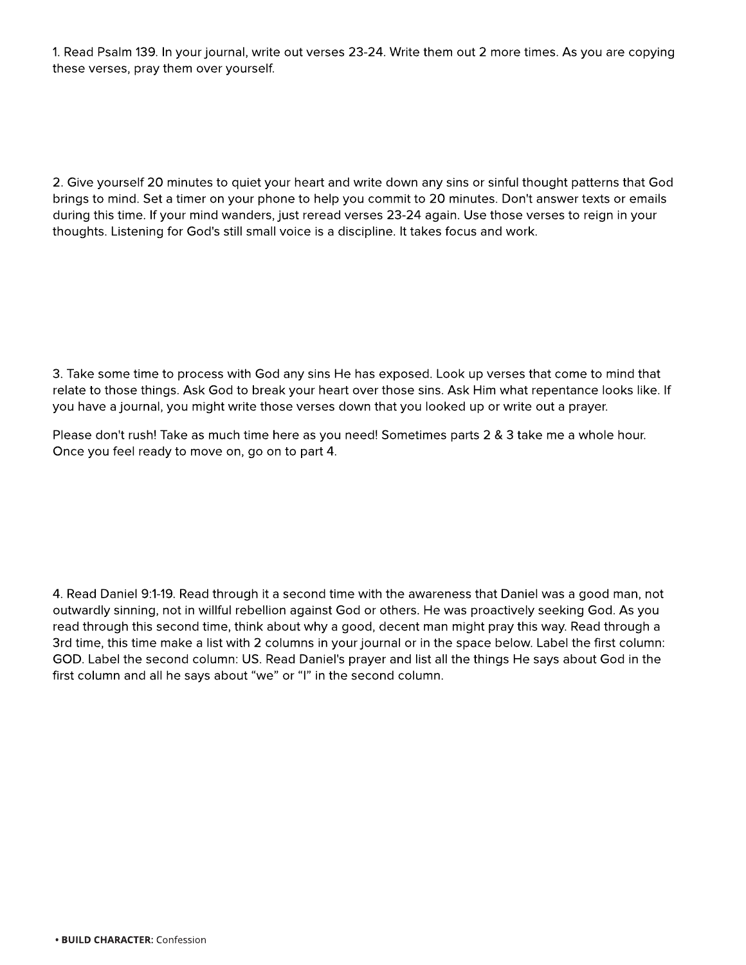1. Read Psalm 139. In your journal, write out verses 23-24. Write them out 2 more times. As you are copying these verses, pray them over yourself.

2. Give yourself 20 minutes to quiet your heart and write down any sins or sinful thought patterns that God brings to mind. Set a timer on your phone to help you commit to 20 minutes. Don't answer texts or emails during this time. If your mind wanders, just reread verses 23-24 again. Use those verses to reign in your thoughts. Listening for God's still small voice is a discipline. It takes focus and work.

3. Take some time to process with God any sins He has exposed. Look up verses that come to mind that relate to those things. Ask God to break your heart over those sins. Ask Him what repentance looks like. If you have a journal, you might write those verses down that you looked up or write out a prayer.

Please don't rush! Take as much time here as you need! Sometimes parts 2 & 3 take me a whole hour. Once you feel ready to move on, go on to part 4.

4. Read Daniel 9:1-19. Read through it a second time with the awareness that Daniel was a good man, not outwardly sinning, not in willful rebellion against God or others. He was proactively seeking God. As you read through this second time, think about why a good, decent man might pray this way. Read through a 3rd time, this time make a list with 2 columns in your journal or in the space below. Label the first column: GOD. Label the second column: US. Read Daniel's prayer and list all the things He says about God in the first column and all he says about "we" or "I" in the second column.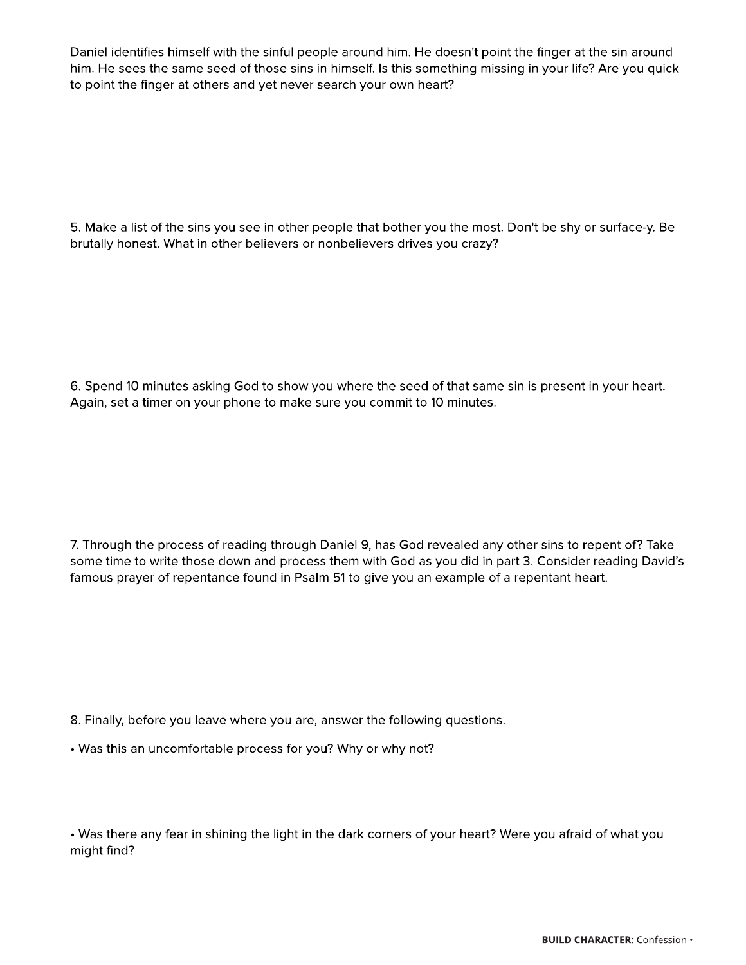Daniel identifies himself with the sinful people around him. He doesn't point the finger at the sin around him. He sees the same seed of those sins in himself. Is this something missing in your life? Are you quick to point the finger at others and yet never search your own heart?

5. Make a list of the sins you see in other people that bother you the most. Don't be shy or surface-y. Be brutally honest. What in other believers or nonbelievers drives you crazy?

6. Spend 10 minutes asking God to show you where the seed of that same sin is present in your heart. Again, set a timer on your phone to make sure you commit to 10 minutes.

7. Through the process of reading through Daniel 9, has God revealed any other sins to repent of? Take some time to write those down and process them with God as you did in part 3. Consider reading David?s famous prayer of repentance found in Psalm 51 to give you an example of a repentant heart.

8. Finally, before you leave where you are, answer the following questions.

- Was this an uncomfortable process for you? Why or why not?

- Was there any fear in shining the light in the dark corners of your heart? Were you afraid of what you might find?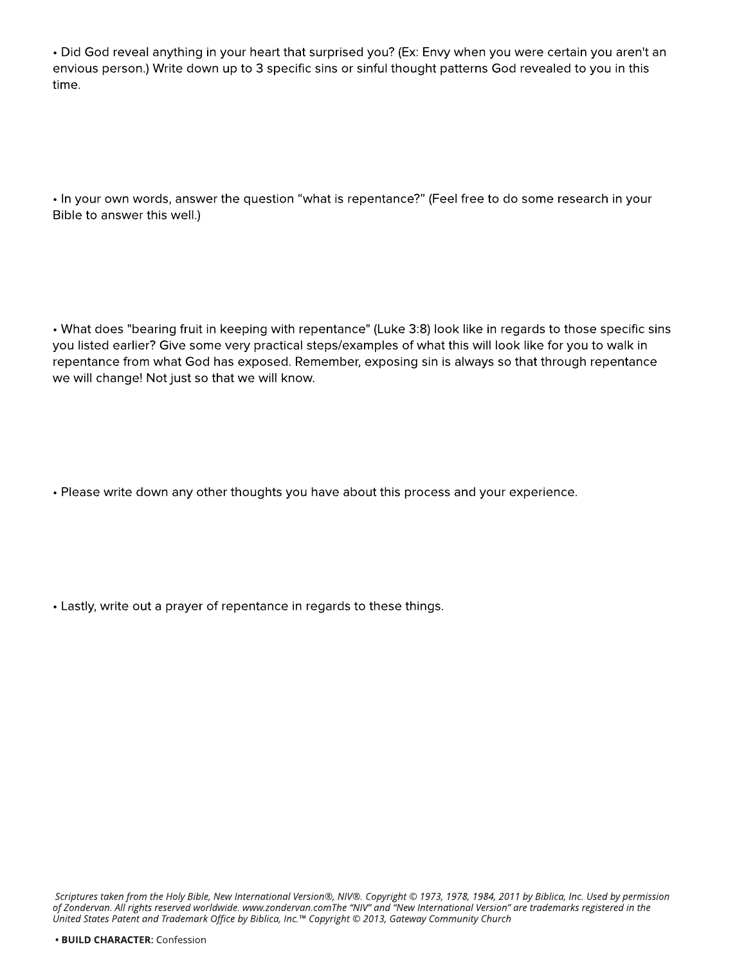- Did God reveal anything in your heart that surprised you? (Ex: Envy when you were certain you aren't an envious person.) Write down up to 3 specific sins or sinful thought patterns God revealed to you in this time.

. In your own words, answer the question "what is repentance?" (Feel free to do some research in your Bible to answer this well.)

- What does "bearing fruit in keeping with repentance" (Luke 3:8) look like in regards to those specific sins you listed earlier? Give some very practical steps/examples of what this will look like for you to walk in repentance from what God has exposed. Remember, exposing sin is always so that through repentance we will change! Not just so that we will know.

- Please write down any other thoughts you have about this process and your experience.

- Lastly, write out a prayer of repentance in regards to these things.